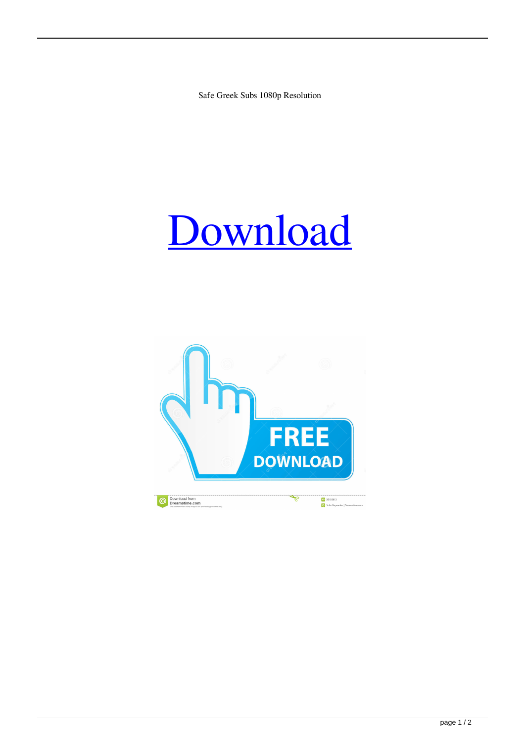Safe Greek Subs 1080p Resolution